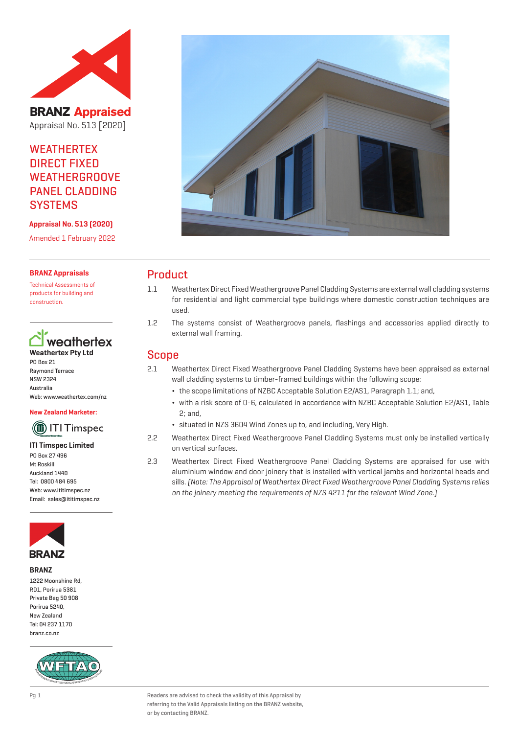

**BRANZ Appraised** Appraisal No. 513 [2020]

# **WEATHERTEX** DIRECT FIXED WEATHERGROOVE PANEL CLADDING **SYSTEMS**

**Appraisal No. 513 (2020)**

Amended 1 February 2022

### **BRANZ Appraisals**

Technical Assessments of products for building and construction.

# weathertex **Weathertex Pty Ltd**

PO Box 21 Raymond Terrace NSW 2324 Australia Web: www.weathertex.com/nz

#### **New Zealand Marketer:**

# (1) ITI Timspec

**ITI Timspec Limited** PO Box 27 496 Mt Roskill Auckland 1440 Tel: 0800 484 695 Web: www.ititimspec.nz Email: sales@ititimspec.nz



#### **BRANZ**

1222 Moonshine Rd, RD1, Porirua 5381 Private Bag 50 908 Porirua 5240, New Zealand Tel: 04 237 1170 branz.co.nz





# Product

- 1.1 Weathertex Direct Fixed Weathergroove Panel Cladding Systems are external wall cladding systems for residential and light commercial type buildings where domestic construction techniques are used.
- 1.2 The systems consist of Weathergroove panels, flashings and accessories applied directly to external wall framing.

## Scope

- 2.1 Weathertex Direct Fixed Weathergroove Panel Cladding Systems have been appraised as external wall cladding systems to timber-framed buildings within the following scope:
	- ¬ the scope limitations of NZBC Acceptable Solution E2/AS1, Paragraph 1.1; and,
	- ¬ with a risk score of 0-6, calculated in accordance with NZBC Acceptable Solution E2/AS1, Table 2; and,
	- ¬ situated in NZS 3604 Wind Zones up to, and including, Very High.
- 2.2 Weathertex Direct Fixed Weathergroove Panel Cladding Systems must only be installed vertically on vertical surfaces.
- 2.3 Weathertex Direct Fixed Weathergroove Panel Cladding Systems are appraised for use with aluminium window and door joinery that is installed with vertical jambs and horizontal heads and sills. (Note: The Appraisal of Weathertex Direct Fixed Weathergroove Panel Cladding Systems relies on the joinery meeting the requirements of NZS 4211 for the relevant Wind Zone.)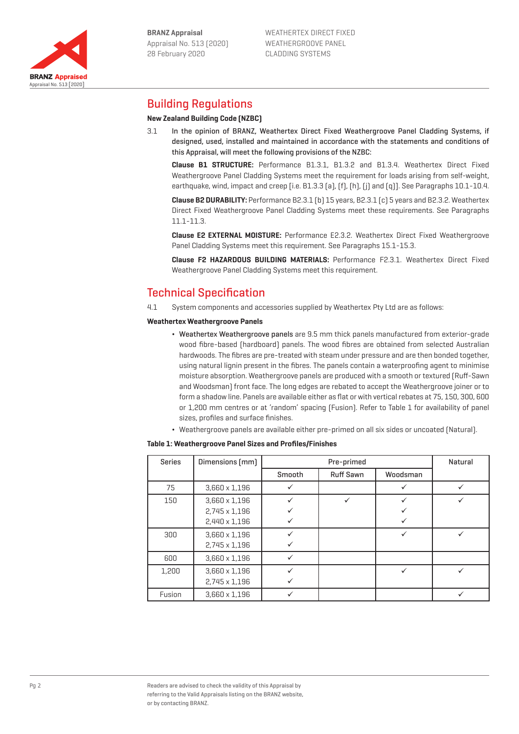

Appraisal No. 513 [2020]

**BRANZ Appraised** 



# Building Regulations

## **New Zealand Building Code (NZBC)**

3.1 In the opinion of BRANZ, Weathertex Direct Fixed Weathergroove Panel Cladding Systems, if designed, used, installed and maintained in accordance with the statements and conditions of this Appraisal, will meet the following provisions of the NZBC:

**Clause B1 STRUCTURE:** Performance B1.3.1, B1.3.2 and B1.3.4. Weathertex Direct Fixed Weathergroove Panel Cladding Systems meet the requirement for loads arising from self-weight, earthquake, wind, impact and creep [i.e. B1.3.3 (a), (f), (h), (j) and (q)]. See Paragraphs 10.1-10.4.

**Clause B2 DURABILITY:** Performance B2.3.1 (b) 15 years, B2.3.1 (c) 5 years and B2.3.2. Weathertex Direct Fixed Weathergroove Panel Cladding Systems meet these requirements. See Paragraphs 11.1-11.3.

**Clause E2 EXTERNAL MOISTURE:** Performance E2.3.2. Weathertex Direct Fixed Weathergroove Panel Cladding Systems meet this requirement. See Paragraphs 15.1-15.3.

**Clause F2 HAZARDOUS BUILDING MATERIALS:** Performance F2.3.1. Weathertex Direct Fixed Weathergroove Panel Cladding Systems meet this requirement.

# Technical Specification

4.1 System components and accessories supplied by Weathertex Pty Ltd are as follows:

### **Weathertex Weathergroove Panels**

- ¬ Weathertex Weathergroove panels are 9.5 mm thick panels manufactured from exterior-grade wood fibre-based (hardboard) panels. The wood fibres are obtained from selected Australian hardwoods. The fibres are pre-treated with steam under pressure and are then bonded together, using natural lignin present in the fibres. The panels contain a waterproofing agent to minimise moisture absorption. Weathergroove panels are produced with a smooth or textured (Ruff-Sawn and Woodsman) front face. The long edges are rebated to accept the Weathergroove joiner or to form a shadow line. Panels are available either as flat or with vertical rebates at 75, 150, 300, 600 or 1,200 mm centres or at 'random' spacing (Fusion). Refer to Table 1 for availability of panel sizes, profiles and surface finishes.
- ¬ Weathergroove panels are available either pre-primed on all six sides or uncoated (Natural).

## **Table 1: Weathergroove Panel Sizes and Profiles/Finishes**

| <b>Series</b> | Dimensions [mm]      | Pre-primed |                  |          | Natural |
|---------------|----------------------|------------|------------------|----------|---------|
|               |                      | Smooth     | <b>Ruff Sawn</b> | Woodsman |         |
| 75            | $3,660 \times 1,196$ |            |                  |          |         |
| 150           | $3,660 \times 1,196$ |            |                  |          |         |
|               | 2,745 x 1,196        |            |                  |          |         |
|               | 2,440 x 1,196        |            |                  |          |         |
| 300           | $3,660 \times 1,196$ |            |                  |          |         |
|               | 2,745 x 1,196        |            |                  |          |         |
| 600           | $3,660 \times 1,196$ |            |                  |          |         |
| 1,200         | $3,660 \times 1,196$ |            |                  |          |         |
|               | 2,745 x 1,196        |            |                  |          |         |
| Fusion        | $3.660 \times 1.196$ |            |                  |          |         |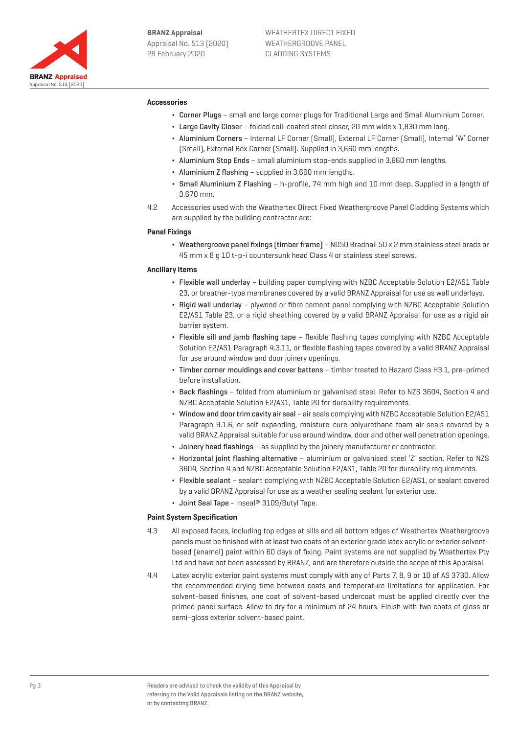

#### **Accessories**

- ¬ Corner Plugs small and large corner plugs for Traditional Large and Small Aluminium Corner.
- ¬ Large Cavity Closer folded coil-coated steel closer, 20 mm wide x 1,830 mm long.
- ¬ Aluminium Corners Internal LF Corner (Small), External LF Corner (Small), Internal 'W' Corner (Small), External Box Corner (Small). Supplied in 3,660 mm lengths.
- ¬ Aluminium Stop Ends small aluminium stop-ends supplied in 3,660 mm lengths.
- Aluminium Z flashing supplied in 3,660 mm lengths.
- ¬ Small Aluminium Z Flashing h-profile, 74 mm high and 10 mm deep. Supplied in a length of 3,670 mm.
- 4.2 Accessories used with the Weathertex Direct Fixed Weathergroove Panel Cladding Systems which are supplied by the building contractor are:

#### **Panel Fixings**

¬ Weathergroove panel fixings (timber frame) – ND50 Bradnail 50 x 2 mm stainless steel brads or 45 mm x 8 g 10 t-p-i countersunk head Class 4 or stainless steel screws.

#### **Ancillary Items**

- ¬ Flexible wall underlay building paper complying with NZBC Acceptable Solution E2/AS1 Table 23, or breather-type membranes covered by a valid BRANZ Appraisal for use as wall underlays.
- ¬ Rigid wall underlay plywood or fibre cement panel complying with NZBC Acceptable Solution E2/AS1 Table 23, or a rigid sheathing covered by a valid BRANZ Appraisal for use as a rigid air barrier system.
- ¬ Flexible sill and jamb flashing tape flexible flashing tapes complying with NZBC Acceptable Solution E2/AS1 Paragraph 4.3.11, or flexible flashing tapes covered by a valid BRANZ Appraisal for use around window and door joinery openings.
- ¬ Timber corner mouldings and cover battens timber treated to Hazard Class H3.1, pre-primed before installation.
- ¬ Back flashings folded from aluminium or galvanised steel. Refer to NZS 3604, Section 4 and NZBC Acceptable Solution E2/AS1, Table 20 for durability requirements.
- ¬ Window and door trim cavity air seal air seals complying with NZBC Acceptable Solution E2/AS1 Paragraph 9.1.6, or self-expanding, moisture-cure polyurethane foam air seals covered by a valid BRANZ Appraisal suitable for use around window, door and other wall penetration openings.
- ¬ Joinery head flashings as supplied by the joinery manufacturer or contractor.
- ¬ Horizontal joint flashing alternative aluminium or galvanised steel 'Z' section. Refer to NZS 3604, Section 4 and NZBC Acceptable Solution E2/AS1, Table 20 for durability requirements.
- ¬ Flexible sealant sealant complying with NZBC Acceptable Solution E2/AS1, or sealant covered by a valid BRANZ Appraisal for use as a weather sealing sealant for exterior use.
- ¬ Joint Seal Tape Inseal® 3109/Butyl Tape.

#### **Paint System Specification**

- 4.3 All exposed faces, including top edges at sills and all bottom edges of Weathertex Weathergroove panels must be finished with at least two coats of an exterior grade latex acrylic or exterior solventbased (enamel) paint within 60 days of fixing. Paint systems are not supplied by Weathertex Pty Ltd and have not been assessed by BRANZ, and are therefore outside the scope of this Appraisal.
- 4.4 Latex acrylic exterior paint systems must comply with any of Parts 7, 8, 9 or 10 of AS 3730. Allow the recommended drying time between coats and temperature limitations for application. For solvent-based finishes, one coat of solvent-based undercoat must be applied directly over the primed panel surface. Allow to dry for a minimum of 24 hours. Finish with two coats of gloss or semi-gloss exterior solvent-based paint.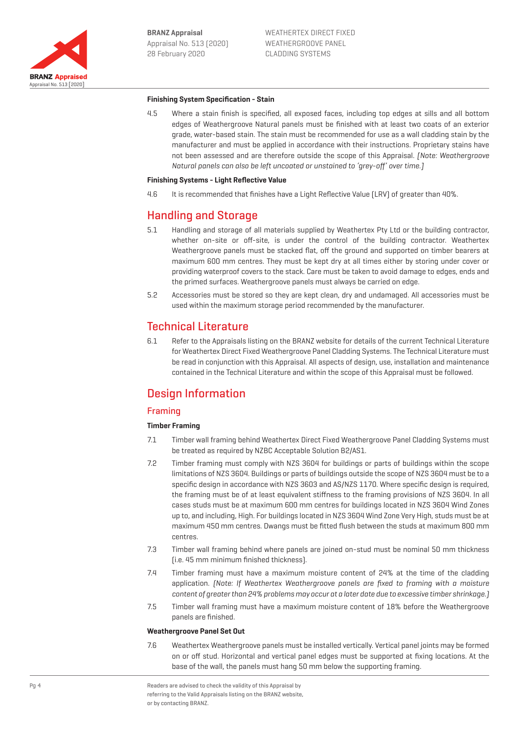

### **Finishing System Specification - Stain**

4.5 Where a stain finish is specified, all exposed faces, including top edges at sills and all bottom edges of Weathergroove Natural panels must be finished with at least two coats of an exterior grade, water-based stain. The stain must be recommended for use as a wall cladding stain by the manufacturer and must be applied in accordance with their instructions. Proprietary stains have not been assessed and are therefore outside the scope of this Appraisal. [Note: Weathergroove Natural panels can also be left uncoated or unstained to 'grey-off' over time.]

#### **Finishing Systems - Light Reflective Value**

4.6 It is recommended that finishes have a Light Reflective Value (LRV) of greater than 40%.

# Handling and Storage

- 5.1 Handling and storage of all materials supplied by Weathertex Pty Ltd or the building contractor, whether on-site or off-site, is under the control of the building contractor. Weathertex Weathergroove panels must be stacked flat, off the ground and supported on timber bearers at maximum 600 mm centres. They must be kept dry at all times either by storing under cover or providing waterproof covers to the stack. Care must be taken to avoid damage to edges, ends and the primed surfaces. Weathergroove panels must always be carried on edge.
- 5.2 Accessories must be stored so they are kept clean, dry and undamaged. All accessories must be used within the maximum storage period recommended by the manufacturer.

# Technical Literature

6.1 Refer to the Appraisals listing on the BRANZ website for details of the current Technical Literature for Weathertex Direct Fixed Weathergroove Panel Cladding Systems. The Technical Literature must be read in conjunction with this Appraisal. All aspects of design, use, installation and maintenance contained in the Technical Literature and within the scope of this Appraisal must be followed.

# Design Information

## Framing

## **Timber Framing**

- 7.1 Timber wall framing behind Weathertex Direct Fixed Weathergroove Panel Cladding Systems must be treated as required by NZBC Acceptable Solution B2/AS1.
- 7.2 Timber framing must comply with NZS 3604 for buildings or parts of buildings within the scope limitations of NZS 3604. Buildings or parts of buildings outside the scope of NZS 3604 must be to a specific design in accordance with NZS 3603 and AS/NZS 1170. Where specific design is required, the framing must be of at least equivalent stiffness to the framing provisions of NZS 3604. In all cases studs must be at maximum 600 mm centres for buildings located in NZS 3604 Wind Zones up to, and including, High. For buildings located in NZS 3604 Wind Zone Very High, studs must be at maximum 450 mm centres. Dwangs must be fitted flush between the studs at maximum 800 mm centres.
- 7.3 Timber wall framing behind where panels are joined on-stud must be nominal 50 mm thickness (i.e. 45 mm minimum finished thickness).
- 7.4 Timber framing must have a maximum moisture content of 24% at the time of the cladding application. (Note: If Weathertex Weathergroove panels are fixed to framing with a moisture content of greater than 24% problems may occur at a later date due to excessive timber shrinkage.)
- 7.5 Timber wall framing must have a maximum moisture content of 18% before the Weathergroove panels are finished.

#### **Weathergroove Panel Set Out**

7.6 Weathertex Weathergroove panels must be installed vertically. Vertical panel joints may be formed on or off stud. Horizontal and vertical panel edges must be supported at fixing locations. At the base of the wall, the panels must hang 50 mm below the supporting framing.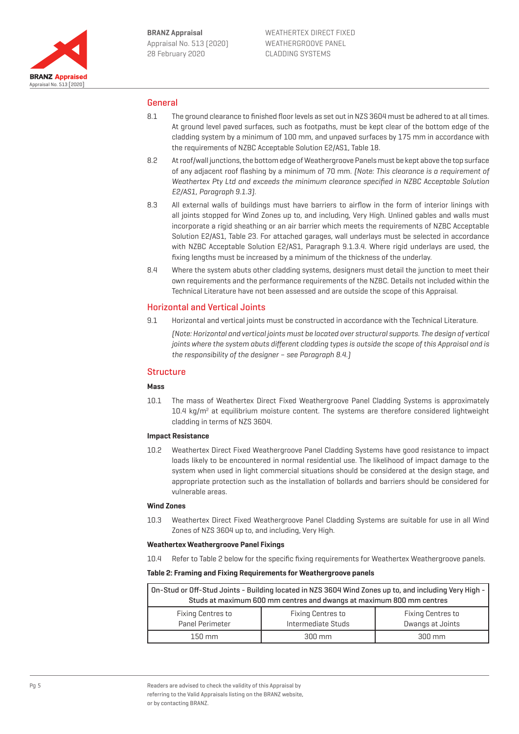

## General

- 8.1 The ground clearance to finished floor levels as set out in NZS 3604 must be adhered to at all times. At ground level paved surfaces, such as footpaths, must be kept clear of the bottom edge of the cladding system by a minimum of 100 mm, and unpaved surfaces by 175 mm in accordance with the requirements of NZBC Acceptable Solution E2/AS1, Table 18.
- 8.2 At roof/wall junctions, the bottom edge of Weathergroove Panels must be kept above the top surface of any adjacent roof flashing by a minimum of 70 mm. (Note: This clearance is a requirement of Weathertex Pty Ltd and exceeds the minimum clearance specified in NZBC Acceptable Solution E2/AS1, Paragraph 9.1.3).
- 8.3 All external walls of buildings must have barriers to airflow in the form of interior linings with all joints stopped for Wind Zones up to, and including, Very High. Unlined gables and walls must incorporate a rigid sheathing or an air barrier which meets the requirements of NZBC Acceptable Solution E2/AS1, Table 23. For attached garages, wall underlays must be selected in accordance with NZBC Acceptable Solution E2/AS1, Paragraph 9.1.3.4. Where rigid underlays are used, the fixing lengths must be increased by a minimum of the thickness of the underlay.
- 8.4 Where the system abuts other cladding systems, designers must detail the junction to meet their own requirements and the performance requirements of the NZBC. Details not included within the Technical Literature have not been assessed and are outside the scope of this Appraisal.

## Horizontal and Vertical Joints

9.1 Horizontal and vertical joints must be constructed in accordance with the Technical Literature. (Note: Horizontal and vertical joints must be located over structural supports. The design of vertical joints where the system abuts different cladding types is outside the scope of this Appraisal and is the responsibility of the designer – see Paragraph 8.4.)

## **Structure**

### **Mass**

10.1 The mass of Weathertex Direct Fixed Weathergroove Panel Cladding Systems is approximately 10.4 kg/m<sup>2</sup> at equilibrium moisture content. The systems are therefore considered lightweight cladding in terms of NZS 3604.

## **Impact Resistance**

10.2 Weathertex Direct Fixed Weathergroove Panel Cladding Systems have good resistance to impact loads likely to be encountered in normal residential use. The likelihood of impact damage to the system when used in light commercial situations should be considered at the design stage, and appropriate protection such as the installation of bollards and barriers should be considered for vulnerable areas.

#### **Wind Zones**

10.3 Weathertex Direct Fixed Weathergroove Panel Cladding Systems are suitable for use in all Wind Zones of NZS 3604 up to, and including, Very High.

#### **Weathertex Weathergroove Panel Fixings**

10.4 Refer to Table 2 below for the specific fixing requirements for Weathertex Weathergroove panels.

#### **Table 2: Framing and Fixing Requirements for Weathergroove panels**

| On-Stud or Off-Stud Joints - Building located in NZS 3604 Wind Zones up to, and including Very High -<br>Studs at maximum 600 mm centres and dwangs at maximum 800 mm centres |                                                |                                              |  |  |  |
|-------------------------------------------------------------------------------------------------------------------------------------------------------------------------------|------------------------------------------------|----------------------------------------------|--|--|--|
| <b>Fixing Centres to</b><br>Panel Perimeter                                                                                                                                   | <b>Fixing Centres to</b><br>Intermediate Studs | <b>Fixing Centres to</b><br>Dwangs at Joints |  |  |  |
| $150 \text{ mm}$                                                                                                                                                              | 300 mm                                         | $300 \text{ mm}$                             |  |  |  |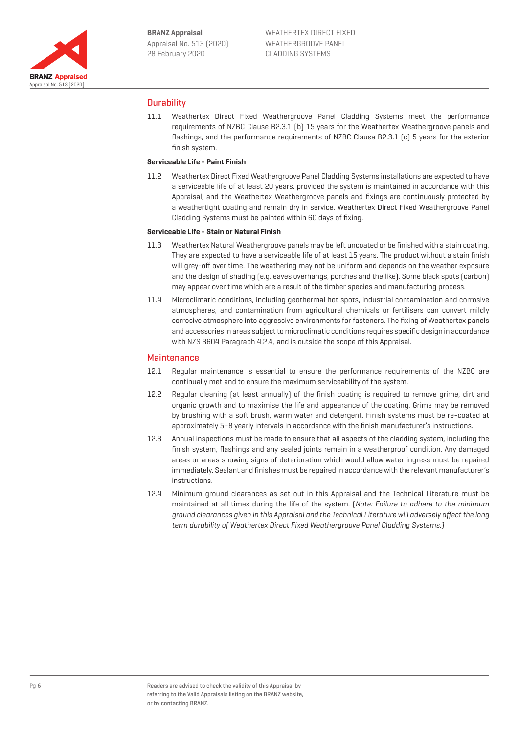

# **Durability**

11.1 Weathertex Direct Fixed Weathergroove Panel Cladding Systems meet the performance requirements of NZBC Clause B2.3.1 (b) 15 years for the Weathertex Weathergroove panels and flashings, and the performance requirements of NZBC Clause B2.3.1 (c) 5 years for the exterior finish system.

## **Serviceable Life - Paint Finish**

11.2 Weathertex Direct Fixed Weathergroove Panel Cladding Systems installations are expected to have a serviceable life of at least 20 years, provided the system is maintained in accordance with this Appraisal, and the Weathertex Weathergroove panels and fixings are continuously protected by a weathertight coating and remain dry in service. Weathertex Direct Fixed Weathergroove Panel Cladding Systems must be painted within 60 days of fixing.

### **Serviceable Life - Stain or Natural Finish**

- 11.3 Weathertex Natural Weathergroove panels may be left uncoated or be finished with a stain coating. They are expected to have a serviceable life of at least 15 years. The product without a stain finish will grey-off over time. The weathering may not be uniform and depends on the weather exposure and the design of shading (e.g. eaves overhangs, porches and the like). Some black spots (carbon) may appear over time which are a result of the timber species and manufacturing process.
- 11.4 Microclimatic conditions, including geothermal hot spots, industrial contamination and corrosive atmospheres, and contamination from agricultural chemicals or fertilisers can convert mildly corrosive atmosphere into aggressive environments for fasteners. The fixing of Weathertex panels and accessories in areas subject to microclimatic conditions requires specific design in accordance with NZS 3604 Paragraph 4.2.4, and is outside the scope of this Appraisal.

## **Maintenance**

- 12.1 Regular maintenance is essential to ensure the performance requirements of the NZBC are continually met and to ensure the maximum serviceability of the system.
- 12.2 Regular cleaning (at least annually) of the finish coating is required to remove grime, dirt and organic growth and to maximise the life and appearance of the coating. Grime may be removed by brushing with a soft brush, warm water and detergent. Finish systems must be re-coated at approximately 5–8 yearly intervals in accordance with the finish manufacturer's instructions.
- 12.3 Annual inspections must be made to ensure that all aspects of the cladding system, including the finish system, flashings and any sealed joints remain in a weatherproof condition. Any damaged areas or areas showing signs of deterioration which would allow water ingress must be repaired immediately. Sealant and finishes must be repaired in accordance with the relevant manufacturer's instructions.
- 12.4 Minimum ground clearances as set out in this Appraisal and the Technical Literature must be maintained at all times during the life of the system. (Note: Failure to adhere to the minimum ground clearances given in this Appraisal and the Technical Literature will adversely affect the long term durability of Weathertex Direct Fixed Weathergroove Panel Cladding Systems.)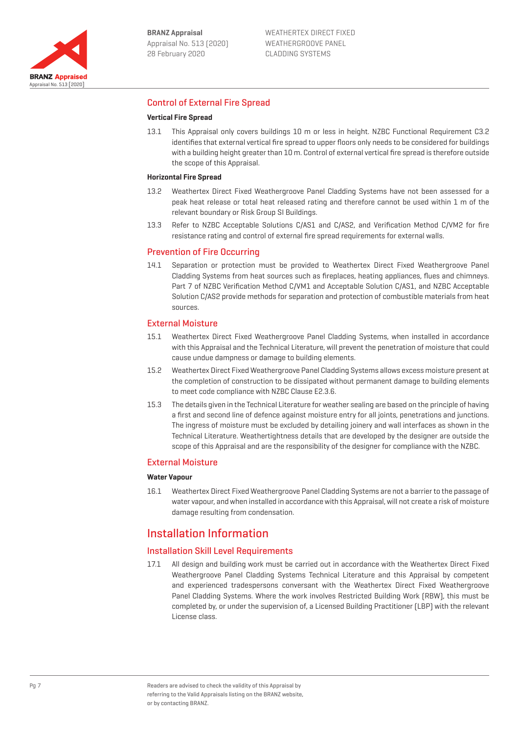

# Control of External Fire Spread

### **Vertical Fire Spread**

13.1 This Appraisal only covers buildings 10 m or less in height. NZBC Functional Requirement C3.2 identifies that external vertical fire spread to upper floors only needs to be considered for buildings with a building height greater than 10 m. Control of external vertical fire spread is therefore outside the scope of this Appraisal.

#### **Horizontal Fire Spread**

- 13.2 Weathertex Direct Fixed Weathergroove Panel Cladding Systems have not been assessed for a peak heat release or total heat released rating and therefore cannot be used within 1 m of the relevant boundary or Risk Group SI Buildings.
- 13.3 Refer to NZBC Acceptable Solutions C/AS1 and C/AS2, and Verification Method C/VM2 for fire resistance rating and control of external fire spread requirements for external walls.

### Prevention of Fire Occurring

14.1 Separation or protection must be provided to Weathertex Direct Fixed Weathergroove Panel Cladding Systems from heat sources such as fireplaces, heating appliances, flues and chimneys. Part 7 of NZBC Verification Method C/VM1 and Acceptable Solution C/AS1, and NZBC Acceptable Solution C/AS2 provide methods for separation and protection of combustible materials from heat sources.

### External Moisture

- 15.1 Weathertex Direct Fixed Weathergroove Panel Cladding Systems, when installed in accordance with this Appraisal and the Technical Literature, will prevent the penetration of moisture that could cause undue dampness or damage to building elements.
- 15.2 Weathertex Direct Fixed Weathergroove Panel Cladding Systems allows excess moisture present at the completion of construction to be dissipated without permanent damage to building elements to meet code compliance with NZBC Clause E2.3.6.
- 15.3 The details given in the Technical Literature for weather sealing are based on the principle of having a first and second line of defence against moisture entry for all joints, penetrations and junctions. The ingress of moisture must be excluded by detailing joinery and wall interfaces as shown in the Technical Literature. Weathertightness details that are developed by the designer are outside the scope of this Appraisal and are the responsibility of the designer for compliance with the NZBC.

## External Moisture

#### **Water Vapour**

16.1 Weathertex Direct Fixed Weathergroove Panel Cladding Systems are not a barrier to the passage of water vapour, and when installed in accordance with this Appraisal, will not create a risk of moisture damage resulting from condensation.

# Installation Information

## Installation Skill Level Requirements

17.1 All design and building work must be carried out in accordance with the Weathertex Direct Fixed Weathergroove Panel Cladding Systems Technical Literature and this Appraisal by competent and experienced tradespersons conversant with the Weathertex Direct Fixed Weathergroove Panel Cladding Systems. Where the work involves Restricted Building Work (RBW), this must be completed by, or under the supervision of, a Licensed Building Practitioner (LBP) with the relevant License class.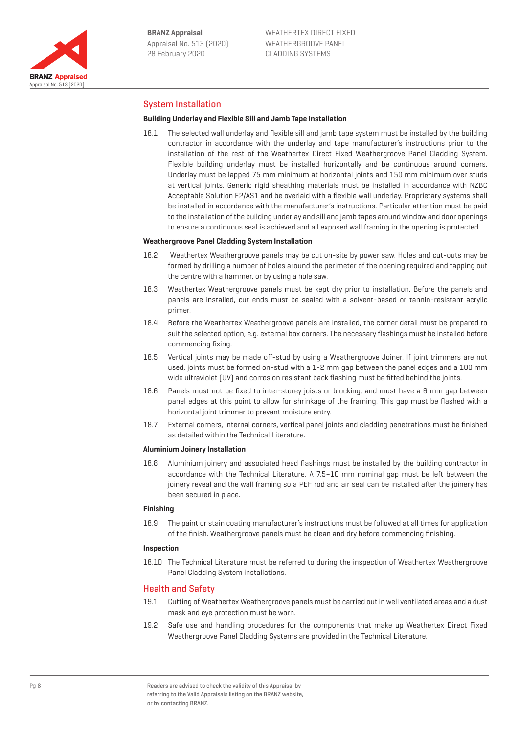

# System Installation

#### **Building Underlay and Flexible Sill and Jamb Tape Installation**

18.1 The selected wall underlay and flexible sill and jamb tape system must be installed by the building contractor in accordance with the underlay and tape manufacturer's instructions prior to the installation of the rest of the Weathertex Direct Fixed Weathergroove Panel Cladding System. Flexible building underlay must be installed horizontally and be continuous around corners. Underlay must be lapped 75 mm minimum at horizontal joints and 150 mm minimum over studs at vertical joints. Generic rigid sheathing materials must be installed in accordance with NZBC Acceptable Solution E2/AS1 and be overlaid with a flexible wall underlay. Proprietary systems shall be installed in accordance with the manufacturer's instructions. Particular attention must be paid to the installation of the building underlay and sill and jamb tapes around window and door openings to ensure a continuous seal is achieved and all exposed wall framing in the opening is protected.

#### **Weathergroove Panel Cladding System Installation**

- 18.2 Weathertex Weathergroove panels may be cut on-site by power saw. Holes and cut-outs may be formed by drilling a number of holes around the perimeter of the opening required and tapping out the centre with a hammer, or by using a hole saw.
- 18.3 Weathertex Weathergroove panels must be kept dry prior to installation. Before the panels and panels are installed, cut ends must be sealed with a solvent-based or tannin-resistant acrylic primer.
- 18.4 Before the Weathertex Weathergroove panels are installed, the corner detail must be prepared to suit the selected option, e.g. external box corners. The necessary flashings must be installed before commencing fixing.
- 18.5 Vertical joints may be made off-stud by using a Weathergroove Joiner. If joint trimmers are not used, joints must be formed on-stud with a 1-2 mm gap between the panel edges and a 100 mm wide ultraviolet (UV) and corrosion resistant back flashing must be fitted behind the joints.
- 18.6 Panels must not be fixed to inter-storey joists or blocking, and must have a 6 mm gap between panel edges at this point to allow for shrinkage of the framing. This gap must be flashed with a horizontal joint trimmer to prevent moisture entry.
- 18.7 External corners, internal corners, vertical panel joints and cladding penetrations must be finished as detailed within the Technical Literature.

#### **Aluminium Joinery Installation**

18.8 Aluminium joinery and associated head flashings must be installed by the building contractor in accordance with the Technical Literature. A 7.5–10 mm nominal gap must be left between the joinery reveal and the wall framing so a PEF rod and air seal can be installed after the joinery has been secured in place.

#### **Finishing**

18.9 The paint or stain coating manufacturer's instructions must be followed at all times for application of the finish. Weathergroove panels must be clean and dry before commencing finishing.

#### **Inspection**

18.10 The Technical Literature must be referred to during the inspection of Weathertex Weathergroove Panel Cladding System installations.

## Health and Safety

- 19.1 Cutting of Weathertex Weathergroove panels must be carried out in well ventilated areas and a dust mask and eye protection must be worn.
- 19.2 Safe use and handling procedures for the components that make up Weathertex Direct Fixed Weathergroove Panel Cladding Systems are provided in the Technical Literature.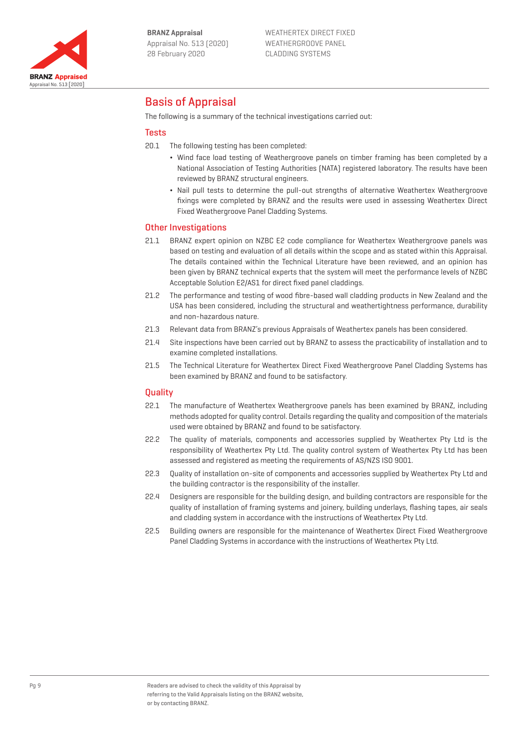

# Basis of Appraisal

The following is a summary of the technical investigations carried out:

## Tests

- 20.1 The following testing has been completed:
	- ¬ Wind face load testing of Weathergroove panels on timber framing has been completed by a National Association of Testing Authorities (NATA) registered laboratory. The results have been reviewed by BRANZ structural engineers.
	- Nail pull tests to determine the pull-out strengths of alternative Weathertex Weathergroove fixings were completed by BRANZ and the results were used in assessing Weathertex Direct Fixed Weathergroove Panel Cladding Systems.

# Other Investigations

- 21.1 BRANZ expert opinion on NZBC E2 code compliance for Weathertex Weathergroove panels was based on testing and evaluation of all details within the scope and as stated within this Appraisal. The details contained within the Technical Literature have been reviewed, and an opinion has been given by BRANZ technical experts that the system will meet the performance levels of NZBC Acceptable Solution E2/AS1 for direct fixed panel claddings.
- 21.2 The performance and testing of wood fibre-based wall cladding products in New Zealand and the USA has been considered, including the structural and weathertightness performance, durability and non-hazardous nature.
- 21.3 Relevant data from BRANZ's previous Appraisals of Weathertex panels has been considered.
- 21.4 Site inspections have been carried out by BRANZ to assess the practicability of installation and to examine completed installations.
- 21.5 The Technical Literature for Weathertex Direct Fixed Weathergroove Panel Cladding Systems has been examined by BRANZ and found to be satisfactory.

## **Quality**

- 22.1 The manufacture of Weathertex Weathergroove panels has been examined by BRANZ, including methods adopted for quality control. Details regarding the quality and composition of the materials used were obtained by BRANZ and found to be satisfactory.
- 22.2 The quality of materials, components and accessories supplied by Weathertex Pty Ltd is the responsibility of Weathertex Pty Ltd. The quality control system of Weathertex Pty Ltd has been assessed and registered as meeting the requirements of AS/NZS ISO 9001.
- 22.3 Quality of installation on-site of components and accessories supplied by Weathertex Pty Ltd and the building contractor is the responsibility of the installer.
- 22.4 Designers are responsible for the building design, and building contractors are responsible for the quality of installation of framing systems and joinery, building underlays, flashing tapes, air seals and cladding system in accordance with the instructions of Weathertex Pty Ltd.
- 22.5 Building owners are responsible for the maintenance of Weathertex Direct Fixed Weathergroove Panel Cladding Systems in accordance with the instructions of Weathertex Pty Ltd.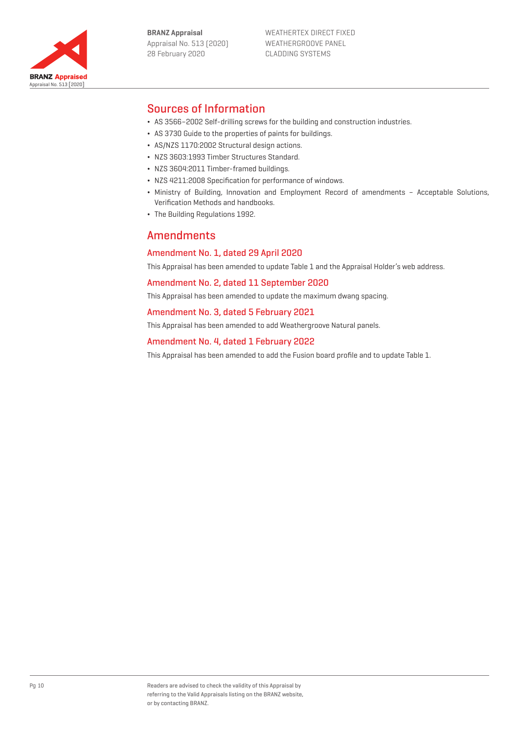



# Sources of Information

- ¬ AS 3566–2002 Self-drilling screws for the building and construction industries.
- ¬ AS 3730 Guide to the properties of paints for buildings.
- ¬ AS/NZS 1170:2002 Structural design actions.
- ¬ NZS 3603:1993 Timber Structures Standard.
- ¬ NZS 3604:2011 Timber-framed buildings.
- ¬ NZS 4211:2008 Specification for performance of windows.
- ¬ Ministry of Building, Innovation and Employment Record of amendments Acceptable Solutions, Verification Methods and handbooks.
- ¬ The Building Regulations 1992.

# Amendments

# Amendment No. 1, dated 29 April 2020

This Appraisal has been amended to update Table 1 and the Appraisal Holder's web address.

Amendment No. 2, dated 11 September 2020

This Appraisal has been amended to update the maximum dwang spacing.

# Amendment No. 3, dated 5 February 2021

This Appraisal has been amended to add Weathergroove Natural panels.

# Amendment No. 4, dated 1 February 2022

This Appraisal has been amended to add the Fusion board profile and to update Table 1.